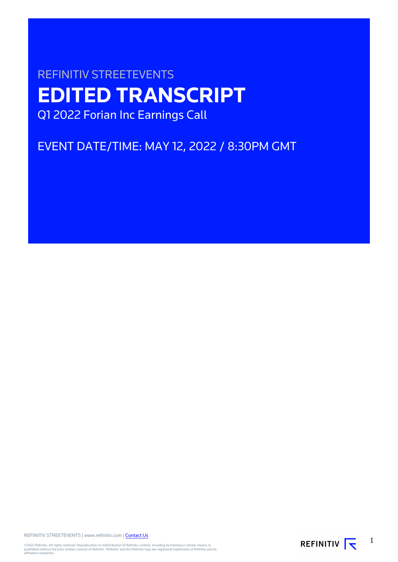# REFINITIV STREETEVENTS **EDITED TRANSCRIPT** Q1 2022 Forian Inc Earnings Call

EVENT DATE/TIME: MAY 12, 2022 / 8:30PM GMT

REFINITIV STREETEVENTS | www.refinitiv.com | [Contact Us](https://www.refinitiv.com/en/contact-us)

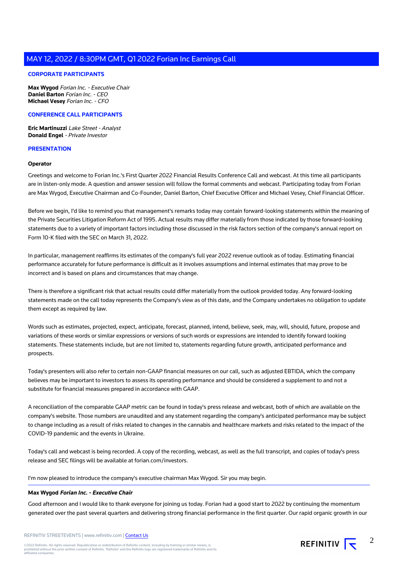# **CORPORATE PARTICIPANTS**

**Max Wygod** Forian Inc. - Executive Chair **Daniel Barton** Forian Inc. - CEO **Michael Vesey** Forian Inc. - CFO

# **CONFERENCE CALL PARTICIPANTS**

**Eric Martinuzzi** Lake Street - Analyst **Donald Engel** - Private Investor

# **PRESENTATION**

#### **Operator**

Greetings and welcome to Forian Inc.'s First Quarter 2022 Financial Results Conference Call and webcast. At this time all participants are in listen-only mode. A question and answer session will follow the formal comments and webcast. Participating today from Forian are Max Wygod, Executive Chairman and Co-Founder, Daniel Barton, Chief Executive Officer and Michael Vesey, Chief Financial Officer.

Before we begin, I'd like to remind you that management's remarks today may contain forward-looking statements within the meaning of the Private Securities Litigation Reform Act of 1995. Actual results may differ materially from those indicated by those forward-looking statements due to a variety of important factors including those discussed in the risk factors section of the company's annual report on Form 10-K filed with the SEC on March 31, 2022.

In particular, management reaffirms its estimates of the company's full year 2022 revenue outlook as of today. Estimating financial performance accurately for future performance is difficult as it involves assumptions and internal estimates that may prove to be incorrect and is based on plans and circumstances that may change.

There is therefore a significant risk that actual results could differ materially from the outlook provided today. Any forward-looking statements made on the call today represents the Company's view as of this date, and the Company undertakes no obligation to update them except as required by law.

Words such as estimates, projected, expect, anticipate, forecast, planned, intend, believe, seek, may, will, should, future, propose and variations of these words or similar expressions or versions of such words or expressions are intended to identify forward looking statements. These statements include, but are not limited to, statements regarding future growth, anticipated performance and prospects.

Today's presenters will also refer to certain non-GAAP financial measures on our call, such as adjusted EBTIDA, which the company believes may be important to investors to assess its operating performance and should be considered a supplement to and not a substitute for financial measures prepared in accordance with GAAP.

A reconciliation of the comparable GAAP metric can be found in today's press release and webcast, both of which are available on the company's website. Those numbers are unaudited and any statement regarding the company's anticipated performance may be subject to change including as a result of risks related to changes in the cannabis and healthcare markets and risks related to the impact of the COVID-19 pandemic and the events in Ukraine.

Today's call and webcast is being recorded. A copy of the recording, webcast, as well as the full transcript, and copies of today's press release and SEC filings will be available at forian.com/investors.

I'm now pleased to introduce the company's executive chairman Max Wygod. Sir you may begin.

# **Max Wygod Forian Inc. - Executive Chair**

Good afternoon and I would like to thank everyone for joining us today. Forian had a good start to 2022 by continuing the momentum generated over the past several quarters and delivering strong financial performance in the first quarter. Our rapid organic growth in our

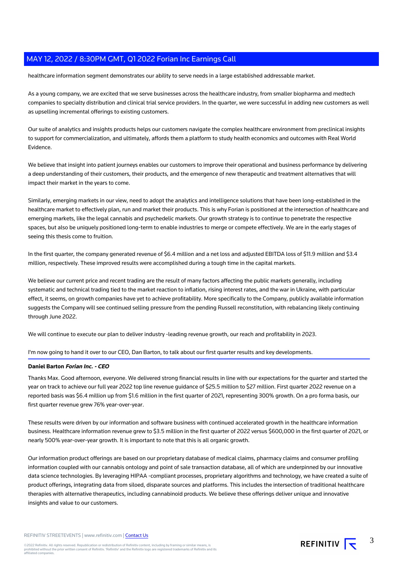healthcare information segment demonstrates our ability to serve needs in a large established addressable market.

As a young company, we are excited that we serve businesses across the healthcare industry, from smaller biopharma and medtech companies to specialty distribution and clinical trial service providers. In the quarter, we were successful in adding new customers as well as upselling incremental offerings to existing customers.

Our suite of analytics and insights products helps our customers navigate the complex healthcare environment from preclinical insights to support for commercialization, and ultimately, affords them a platform to study health economics and outcomes with Real World **Evidence** 

We believe that insight into patient journeys enables our customers to improve their operational and business performance by delivering a deep understanding of their customers, their products, and the emergence of new therapeutic and treatment alternatives that will impact their market in the years to come.

Similarly, emerging markets in our view, need to adopt the analytics and intelligence solutions that have been long-established in the healthcare market to effectively plan, run and market their products. This is why Forian is positioned at the intersection of healthcare and emerging markets, like the legal cannabis and psychedelic markets. Our growth strategy is to continue to penetrate the respective spaces, but also be uniquely positioned long-term to enable industries to merge or compete effectively. We are in the early stages of seeing this thesis come to fruition.

In the first quarter, the company generated revenue of \$6.4 million and a net loss and adjusted EBITDA loss of \$11.9 million and \$3.4 million, respectively. These improved results were accomplished during a tough time in the capital markets.

We believe our current price and recent trading are the result of many factors affecting the public markets generally, including systematic and technical trading tied to the market reaction to inflation, rising interest rates, and the war in Ukraine, with particular effect, it seems, on growth companies have yet to achieve profitability. More specifically to the Company, publicly available information suggests the Company will see continued selling pressure from the pending Russell reconstitution, with rebalancing likely continuing through June 2022.

We will continue to execute our plan to deliver industry -leading revenue growth, our reach and profitability in 2023.

I'm now going to hand it over to our CEO, Dan Barton, to talk about our first quarter results and key developments.

# **Daniel Barton Forian Inc. - CEO**

Thanks Max. Good afternoon, everyone. We delivered strong financial results in line with our expectations for the quarter and started the year on track to achieve our full year 2022 top line revenue guidance of \$25.5 million to \$27 million. First quarter 2022 revenue on a reported basis was \$6.4 million up from \$1.6 million in the first quarter of 2021, representing 300% growth. On a pro forma basis, our first quarter revenue grew 76% year-over-year.

These results were driven by our information and software business with continued accelerated growth in the healthcare information business. Healthcare information revenue grew to \$3.5 million in the first quarter of 2022 versus \$600,000 in the first quarter of 2021, or nearly 500% year-over-year growth. It is important to note that this is all organic growth.

Our information product offerings are based on our proprietary database of medical claims, pharmacy claims and consumer profiling information coupled with our cannabis ontology and point of sale transaction database, all of which are underpinned by our innovative data science technologies. By leveraging HIPAA -compliant processes, proprietary algorithms and technology, we have created a suite of product offerings, integrating data from siloed, disparate sources and platforms. This includes the intersection of traditional healthcare therapies with alternative therapeutics, including cannabinoid products. We believe these offerings deliver unique and innovative insights and value to our customers.

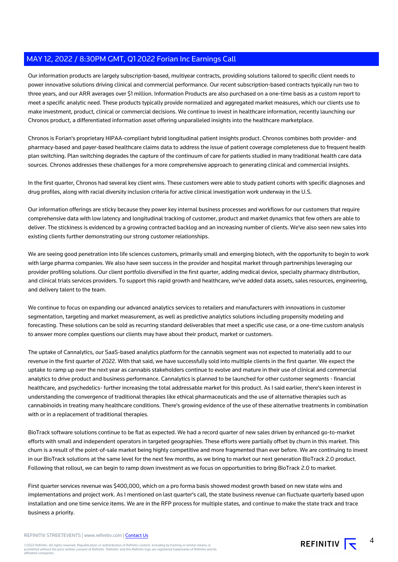Our information products are largely subscription-based, multiyear contracts, providing solutions tailored to specific client needs to power innovative solutions driving clinical and commercial performance. Our recent subscription-based contracts typically run two to three years, and our ARR averages over \$1 million. Information Products are also purchased on a one-time basis as a custom report to meet a specific analytic need. These products typically provide normalized and aggregated market measures, which our clients use to make investment, product, clinical or commercial decisions. We continue to invest in healthcare information, recently launching our Chronos product, a differentiated information asset offering unparalleled insights into the healthcare marketplace.

Chronos is Forian's proprietary HIPAA-compliant hybrid longitudinal patient insights product. Chronos combines both provider- and pharmacy-based and payer-based healthcare claims data to address the issue of patient coverage completeness due to frequent health plan switching. Plan switching degrades the capture of the continuum of care for patients studied in many traditional health care data sources. Chronos addresses these challenges for a more comprehensive approach to generating clinical and commercial insights.

In the first quarter, Chronos had several key client wins. These customers were able to study patient cohorts with specific diagnoses and drug profiles, along with racial diversity inclusion criteria for active clinical investigation work underway in the U.S.

Our information offerings are sticky because they power key internal business processes and workflows for our customers that require comprehensive data with low latency and longitudinal tracking of customer, product and market dynamics that few others are able to deliver. The stickiness is evidenced by a growing contracted backlog and an increasing number of clients. We've also seen new sales into existing clients further demonstrating our strong customer relationships.

We are seeing good penetration into life sciences customers, primarily small and emerging biotech, with the opportunity to begin to work with large pharma companies. We also have seen success in the provider and hospital market through partnerships leveraging our provider profiling solutions. Our client portfolio diversified in the first quarter, adding medical device, specialty pharmacy distribution, and clinical trials services providers. To support this rapid growth and healthcare, we've added data assets, sales resources, engineering, and delivery talent to the team.

We continue to focus on expanding our advanced analytics services to retailers and manufacturers with innovations in customer segmentation, targeting and market measurement, as well as predictive analytics solutions including propensity modeling and forecasting. These solutions can be sold as recurring standard deliverables that meet a specific use case, or a one-time custom analysis to answer more complex questions our clients may have about their product, market or customers.

The uptake of Cannalytics, our SaaS-based analytics platform for the cannabis segment was not expected to materially add to our revenue in the first quarter of 2022. With that said, we have successfully sold into multiple clients in the first quarter. We expect the uptake to ramp up over the next year as cannabis stakeholders continue to evolve and mature in their use of clinical and commercial analytics to drive product and business performance. Cannalytics is planned to be launched for other customer segments - financial healthcare, and psychedelics- further increasing the total addressable market for this product. As I said earlier, there's keen interest in understanding the convergence of traditional therapies like ethical pharmaceuticals and the use of alternative therapies such as cannabinoids in treating many healthcare conditions. There's growing evidence of the use of these alternative treatments in combination with or in a replacement of traditional therapies.

BioTrack software solutions continue to be flat as expected. We had a record quarter of new sales driven by enhanced go-to-market efforts with small and independent operators in targeted geographies. These efforts were partially offset by churn in this market. This churn is a result of the point-of-sale market being highly competitive and more fragmented than ever before. We are continuing to invest in our BioTrack solutions at the same level for the next few months, as we bring to market our next generation BioTrack 2.0 product. Following that rollout, we can begin to ramp down investment as we focus on opportunities to bring BioTrack 2.0 to market.

First quarter services revenue was \$400,000, which on a pro forma basis showed modest growth based on new state wins and implementations and project work. As I mentioned on last quarter's call, the state business revenue can fluctuate quarterly based upon installation and one time service items. We are in the RFP process for multiple states, and continue to make the state track and trace business a priority.

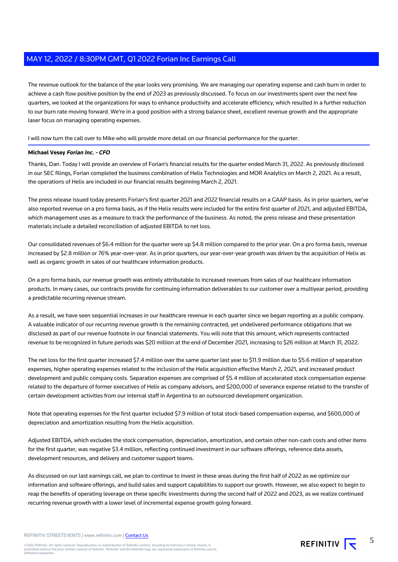The revenue outlook for the balance of the year looks very promising. We are managing our operating expense and cash burn in order to achieve a cash flow positive position by the end of 2023 as previously discussed. To focus on our investments spent over the next few quarters, we looked at the organizations for ways to enhance productivity and accelerate efficiency, which resulted in a further reduction to our burn rate moving forward. We're in a good position with a strong balance sheet, excellent revenue growth and the appropriate laser focus on managing operating expenses.

I will now turn the call over to Mike who will provide more detail on our financial performance for the quarter.

# **Michael Vesey Forian Inc. - CFO**

Thanks, Dan. Today I will provide an overview of Forian's financial results for the quarter ended March 31, 2022. As previously disclosed in our SEC filings, Forian completed the business combination of Helix Technologies and MOR Analytics on March 2, 2021. As a result, the operations of Helix are included in our financial results beginning March 2, 2021.

The press release issued today presents Forian's first quarter 2021 and 2022 financial results on a GAAP basis. As in prior quarters, we've also reported revenue on a pro forma basis, as if the Helix results were included for the entire first quarter of 2021, and adjusted EBITDA, which management uses as a measure to track the performance of the business. As noted, the press release and these presentation materials include a detailed reconciliation of adjusted EBITDA to net loss.

Our consolidated revenues of \$6.4 million for the quarter were up \$4.8 million compared to the prior year. On a pro forma basis, revenue increased by \$2.8 million or 76% year-over-year. As in prior quarters, our year-over-year growth was driven by the acquisition of Helix as well as organic growth in sales of our healthcare information products.

On a pro forma basis, our revenue growth was entirely attributable to increased revenues from sales of our healthcare information products. In many cases, our contracts provide for continuing information deliverables to our customer over a multiyear period, providing a predictable recurring revenue stream.

As a result, we have seen sequential increases in our healthcare revenue in each quarter since we began reporting as a public company. A valuable indicator of our recurring revenue growth is the remaining contracted, yet undelivered performance obligations that we disclosed as part of our revenue footnote in our financial statements. You will note that this amount, which represents contracted revenue to be recognized in future periods was \$20 million at the end of December 2021, increasing to \$26 million at March 31, 2022.

The net loss for the first quarter increased \$7.4 million over the same quarter last year to \$11.9 million due to \$5.6 million of separation expenses, higher operating expenses related to the inclusion of the Helix acquisition effective March 2, 2021, and increased product development and public company costs. Separation expenses are comprised of \$5.4 million of accelerated stock compensation expense related to the departure of former executives of Helix as company advisors, and \$200,000 of severance expense related to the transfer of certain development activities from our internal staff in Argentina to an outsourced development organization.

Note that operating expenses for the first quarter included \$7.9 million of total stock-based compensation expense, and \$600,000 of depreciation and amortization resulting from the Helix acquisition.

Adjusted EBITDA, which excludes the stock compensation, depreciation, amortization, and certain other non-cash costs and other items for the first quarter, was negative \$3.4 million, reflecting continued investment in our software offerings, reference data assets, development resources, and delivery and customer support teams.

As discussed on our last earnings call, we plan to continue to invest in these areas during the first half of 2022 as we optimize our information and software offerings, and build sales and support capabilities to support our growth. However, we also expect to begin to reap the benefits of operating leverage on these specific investments during the second half of 2022 and 2023, as we realize continued recurring revenue growth with a lower level of incremental expense growth going forward.

REFINITIV STREETEVENTS | www.refinitiv.com | [Contact Us](https://www.refinitiv.com/en/contact-us)

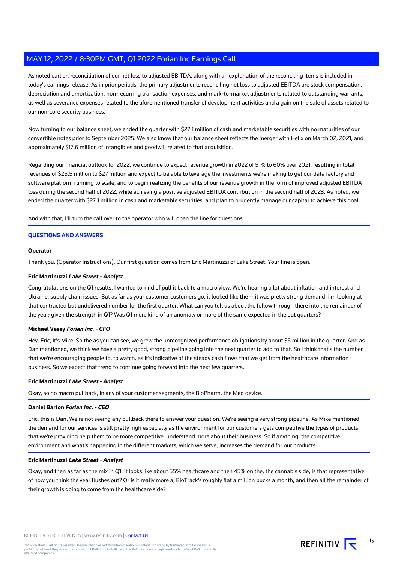As noted earlier, reconciliation of our net loss to adjusted EBITDA, along with an explanation of the reconciling items is included in today's earnings release. As in prior periods, the primary adjustments reconciling net loss to adjusted EBITDA are stock compensation, depreciation and amortization, non-recurring transaction expenses, and mark-to-market adjustments related to outstanding warrants, as well as severance expenses related to the aforementioned transfer of development activities and a gain on the sale of assets related to our non-core security business.

Now turning to our balance sheet, we ended the quarter with \$27.1 million of cash and marketable securities with no maturities of our convertible notes prior to September 2025. We also know that our balance sheet reflects the merger with Helix on March 02, 2021, and approximately \$17.6 million of intangibles and goodwill related to that acquisition.

Regarding our financial outlook for 2022, we continue to expect revenue growth in 2022 of 51% to 60% over 2021, resulting in total revenues of \$25.5 million to \$27 million and expect to be able to leverage the investments we're making to get our data factory and software platform running to scale, and to begin realizing the benefits of our revenue growth in the form of improved adjusted EBITDA loss during the second half of 2022, while achieving a positive adjusted EBITDA contribution in the second half of 2023. As noted, we ended the quarter with \$27.1 million in cash and marketable securities, and plan to prudently manage our capital to achieve this goal.

And with that, I'll turn the call over to the operator who will open the line for questions.

# **QUESTIONS AND ANSWERS**

## **Operator**

Thank you. (Operator Instructions). Our first question comes from Eric Martinuzzi of Lake Street. Your line is open.

## **Eric Martinuzzi Lake Street - Analyst**

Congratulations on the Q1 results. I wanted to kind of pull it back to a macro view. We're hearing a lot about inflation and interest and Ukraine, supply chain issues. But as far as your customer customers go, it looked like the -- it was pretty strong demand. I'm looking at that contracted but undelivered number for the first quarter. What can you tell us about the follow through there into the remainder of the year; given the strength in Q1? Was Q1 more kind of an anomaly or more of the same expected in the out quarters?

#### **Michael Vesey Forian Inc. - CFO**

Hey, Eric, it's Mike. So the as you can see, we grew the unrecognized performance obligations by about \$5 million in the quarter. And as Dan mentioned, we think we have a pretty good, strong pipeline going into the next quarter to add to that. So I think that's the number that we're encouraging people to, to watch, as it's indicative of the steady cash flows that we get from the healthcare information business. So we expect that trend to continue going forward into the next few quarters.

# **Eric Martinuzzi Lake Street - Analyst**

Okay, so no macro pullback, in any of your customer segments, the BioPharm, the Med device.

#### **Daniel Barton Forian Inc. - CEO**

Eric, this is Dan. We're not seeing any pullback there to answer your question. We're seeing a very strong pipeline. As Mike mentioned, the demand for our services is still pretty high especially as the environment for our customers gets competitive the types of products that we're providing help them to be more competitive, understand more about their business. So if anything, the competitive environment and what's happening in the different markets, which we serve, increases the demand for our products.

#### **Eric Martinuzzi Lake Street - Analyst**

Okay, and then as far as the mix in Q1, it looks like about 55% healthcare and then 45% on the, the cannabis side, is that representative of how you think the year flushes out? Or is it really more a, BioTrack's roughly flat a million bucks a month, and then all the remainder of their growth is going to come from the healthcare side?

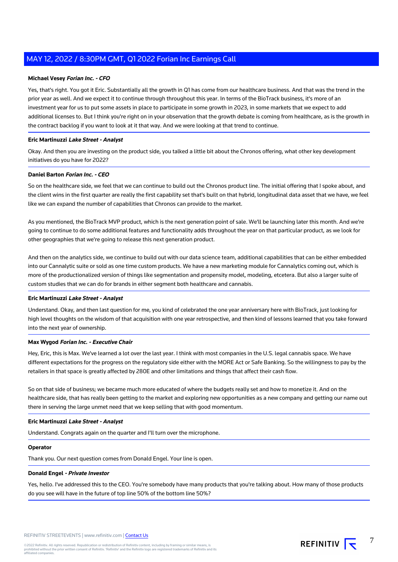# **Michael Vesey Forian Inc. - CFO**

Yes, that's right. You got it Eric. Substantially all the growth in Q1 has come from our healthcare business. And that was the trend in the prior year as well. And we expect it to continue through throughout this year. In terms of the BioTrack business, it's more of an investment year for us to put some assets in place to participate in some growth in 2023, in some markets that we expect to add additional licenses to. But I think you're right on in your observation that the growth debate is coming from healthcare, as is the growth in the contract backlog if you want to look at it that way. And we were looking at that trend to continue.

#### **Eric Martinuzzi Lake Street - Analyst**

Okay. And then you are investing on the product side, you talked a little bit about the Chronos offering, what other key development initiatives do you have for 2022?

#### **Daniel Barton Forian Inc. - CEO**

So on the healthcare side, we feel that we can continue to build out the Chronos product line. The initial offering that I spoke about, and the client wins in the first quarter are really the first capability set that's built on that hybrid, longitudinal data asset that we have, we feel like we can expand the number of capabilities that Chronos can provide to the market.

As you mentioned, the BioTrack MVP product, which is the next generation point of sale. We'll be launching later this month. And we're going to continue to do some additional features and functionality adds throughout the year on that particular product, as we look for other geographies that we're going to release this next generation product.

And then on the analytics side, we continue to build out with our data science team, additional capabilities that can be either embedded into our Cannalytic suite or sold as one time custom products. We have a new marketing module for Cannalytics coming out, which is more of the productionalized version of things like segmentation and propensity model, modeling, etcetera. But also a larger suite of custom studies that we can do for brands in either segment both healthcare and cannabis.

#### **Eric Martinuzzi Lake Street - Analyst**

Understand. Okay, and then last question for me, you kind of celebrated the one year anniversary here with BioTrack, just looking for high level thoughts on the wisdom of that acquisition with one year retrospective, and then kind of lessons learned that you take forward into the next year of ownership.

#### **Max Wygod Forian Inc. - Executive Chair**

Hey, Eric, this is Max. We've learned a lot over the last year. I think with most companies in the U.S. legal cannabis space. We have different expectations for the progress on the regulatory side either with the MORE Act or Safe Banking. So the willingness to pay by the retailers in that space is greatly affected by 280E and other limitations and things that affect their cash flow.

So on that side of business; we became much more educated of where the budgets really set and how to monetize it. And on the healthcare side, that has really been getting to the market and exploring new opportunities as a new company and getting our name out there in serving the large unmet need that we keep selling that with good momentum.

# **Eric Martinuzzi Lake Street - Analyst**

Understand. Congrats again on the quarter and I'll turn over the microphone.

#### **Operator**

Thank you. Our next question comes from Donald Engel. Your line is open.

# **Donald Engel - Private Investor**

Yes, hello. I've addressed this to the CEO. You're somebody have many products that you're talking about. How many of those products do you see will have in the future of top line 50% of the bottom line 50%?

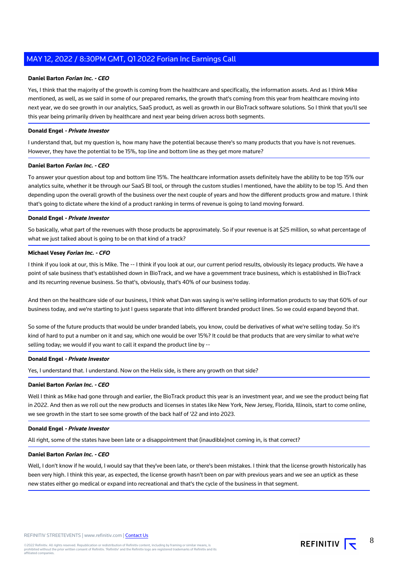## **Daniel Barton Forian Inc. - CEO**

Yes, I think that the majority of the growth is coming from the healthcare and specifically, the information assets. And as I think Mike mentioned, as well, as we said in some of our prepared remarks, the growth that's coming from this year from healthcare moving into next year, we do see growth in our analytics, SaaS product, as well as growth in our BioTrack software solutions. So I think that you'll see this year being primarily driven by healthcare and next year being driven across both segments.

#### **Donald Engel - Private Investor**

I understand that, but my question is, how many have the potential because there's so many products that you have is not revenues. However, they have the potential to be 15%, top line and bottom line as they get more mature?

## **Daniel Barton Forian Inc. - CEO**

To answer your question about top and bottom line 15%. The healthcare information assets definitely have the ability to be top 15% our analytics suite, whether it be through our SaaS BI tool, or through the custom studies I mentioned, have the ability to be top 15. And then depending upon the overall growth of the business over the next couple of years and how the different products grow and mature. I think that's going to dictate where the kind of a product ranking in terms of revenue is going to land moving forward.

#### **Donald Engel - Private Investor**

So basically, what part of the revenues with those products be approximately. So if your revenue is at \$25 million, so what percentage of what we just talked about is going to be on that kind of a track?

# **Michael Vesey Forian Inc. - CFO**

I think if you look at our, this is Mike. The -- I think if you look at our, our current period results, obviously its legacy products. We have a point of sale business that's established down in BioTrack, and we have a government trace business, which is established in BioTrack and its recurring revenue business. So that's, obviously, that's 40% of our business today.

And then on the healthcare side of our business, I think what Dan was saying is we're selling information products to say that 60% of our business today, and we're starting to just I guess separate that into different branded product lines. So we could expand beyond that.

So some of the future products that would be under branded labels, you know, could be derivatives of what we're selling today. So it's kind of hard to put a number on it and say, which one would be over 15%? It could be that products that are very similar to what we're selling today; we would if you want to call it expand the product line by --

#### **Donald Engel - Private Investor**

Yes, I understand that. I understand. Now on the Helix side, is there any growth on that side?

# **Daniel Barton Forian Inc. - CEO**

Well I think as Mike had gone through and earlier, the BioTrack product this year is an investment year, and we see the product being flat in 2022. And then as we roll out the new products and licenses in states like New York, New Jersey, Florida, Illinois, start to come online, we see growth in the start to see some growth of the back half of '22 and into 2023.

#### **Donald Engel - Private Investor**

All right, some of the states have been late or a disappointment that (inaudible)not coming in, is that correct?

# **Daniel Barton Forian Inc. - CEO**

Well, I don't know if he would, I would say that they've been late, or there's been mistakes. I think that the license growth historically has been very high. I think this year, as expected, the license growth hasn't been on par with previous years and we see an uptick as these new states either go medical or expand into recreational and that's the cycle of the business in that segment.